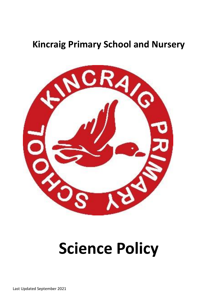## **Kincraig Primary School and Nursery**



# **Science Policy**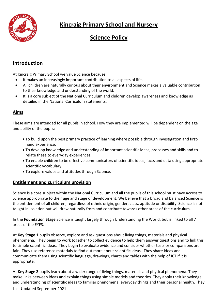

## **Kincraig Primary School and Nursery**

## **Science Policy**

### **Introduction**

At Kincraig Primary School we value Science because;

- It makes an increasingly important contribution to all aspects of life.
- All children are naturally curious about their environment and Science makes a valuable contribution to their knowledge and understanding of the world.
- It is a core subject of the National Curriculum and children develop awareness and knowledge as detailed in the National Curriculum statements.

#### **Aims**

These aims are intended for all pupils in school. How they are implemented will be dependent on the age and ability of the pupils:

- To build upon the best primary practice of learning where possible through investigation and firsthand experience.
- To develop knowledge and understanding of important scientific ideas, processes and skills and to relate these to everyday experiences.
- To enable children to be effective communicators of scientific ideas, facts and data using appropriate scientific vocabulary.
- To explore values and attitudes through Science.

#### **Entitlement and curriculum provision**

Science is a core subject within the National Curriculum and all the pupils of this school must have access to Science appropriate to their age and stage of development. We believe that a broad and balanced Science is the entitlement of all children, regardless of ethnic origin, gender, class, aptitude or disability. Science is not taught in isolation but will draw naturally from and contribute towards other areas of the curriculum.

In the **Foundation Stage** Science is taught largely through Understanding the World, but is linked to all 7 areas of the EYFS.

At **Key Stage 1** pupils observe, explore and ask questions about living things, materials and physical phenomena. They begin to work together to collect evidence to help them answer questions and to link this to simple scientific ideas. They begin to evaluate evidence and consider whether tests or comparisons are fair. They use reference materials to find out more about scientific ideas. They share ideas and communicate them using scientific language, drawings, charts and tables with the help of ICT if it is appropriate.

Last Updated September 2021 At **Key Stage 2** pupils learn about a wider range of living things, materials and physical phenomena. They make links between ideas and explain things using simple models and theories. They apply their knowledge and understanding of scientific ideas to familiar phenomena, everyday things and their personal health. They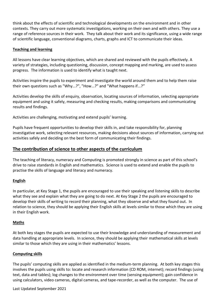think about the effects of scientific and technological developments on the environment and in other contexts. They carry out more systematic investigations, working on their own and with others. They use a range of reference sources in their work. They talk about their work and its significance, using a wide range of scientific language, conventional diagrams, charts, graphs and ICT to communicate their ideas.

#### **Teaching and learning**

All lessons have clear learning objectives, which are shared and reviewed with the pupils effectively. A variety of strategies, including questioning, discussion, concept mapping and marking, are used to assess progress. The information is used to identify what is taught next.

Activities inspire the pupils to experiment and investigate the world around them and to help them raise their own questions such as "Why...?", "How...?" and "What happens if...?"

Activities develop the skills of enquiry, observation, locating sources of information, selecting appropriate equipment and using it safely, measuring and checking results, making comparisons and communicating results and findings.

Activities are challenging, motivating and extend pupils' learning.

Pupils have frequent opportunities to develop their skills in, and take responsibility for, planning investigative work, selecting relevant resources, making decisions about sources of information, carrying out activities safely and deciding on the best form of communicating their findings.

#### **The contribution of science to other aspects of the curriculum**

The teaching of literacy, numeracy and Computing is promoted strongly in science as part of this school's drive to raise standards in English and mathematics. Science is used to extend and enable the pupils to practise the skills of language and literacy and numeracy.

#### **English**

In particular, at Key Stage 1, the pupils are encouraged to use their speaking and listening skills to describe what they see and explain what they are going to do next. At Key Stage 2 the pupils are encouraged to develop their skills of writing to record their planning, what they observe and what they found out. In relation to science, they should be applying their English skills at levels similar to those which they are using in their English work.

#### **Maths**

At both key stages the pupils are expected to use their knowledge and understanding of measurement and data handling at appropriate levels. In science, they should be applying their mathematical skills at levels similar to those which they are using in their mathematics' lessons.

#### **Computing skills**

The pupils' computing skills are applied as identified in the medium-term planning. At both key stages this involves the pupils using skills to: locate and research information (CD ROM, internet); record findings (using text, data and tables); log changes to the environment over time (sensing equipment); gain confidence in using calculators, video cameras, digital cameras, and tape-recorder, as well as the computer. The use of

Last Updated September 2021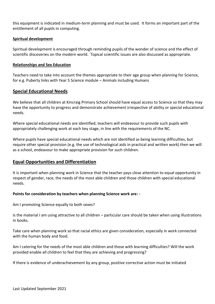this equipment is indicated in medium-term planning and must be used. It forms an important part of the entitlement of all pupils in computing.

#### **Spiritual development**

Spiritual development is encouraged through reminding pupils of the wonder of science and the effect of scientific discoveries on the modern world. Topical scientific issues are also discussed as appropriate.

#### **Relationships and Sex Education**

Teachers need to take into account the themes appropriate to their age group when planning for Science, for e.g. Puberty links with Year 5 Science module – Animals including Humans

#### **Special Educational Needs**

We believe that all children at Kincraig Primary School should have equal access to Science so that they may have the opportunity to progress and demonstrate achievement irrespective of ability or special educational needs.

Where special educational needs are identified, teachers will endeavour to provide such pupils with appropriately challenging work at each key stage, in line with the requirements of the NC.

Where pupils have special educational needs which are not identified as being learning difficulties, but require other special provision (e.g. the use of technological aids in practical and written work) then we will as a school, endeavour to make appropriate provision for such children.

#### **Equal Opportunities and Differentiation**

It is important when planning work in Science that the teacher pays close attention to equal opportunity in respect of gender, race, the needs of the most able children and those children with special educational needs.

#### **Points for consideration by teachers when planning Science work are: -**

Am I promoting Science equally to both sexes?

Is the material I am using attractive to all children – particular care should be taken when using illustrations in books.

Take care when planning work so that racial ethics are given consideration, especially in work connected with the human body and food.

Am I catering for the needs of the most able children and those with learning difficulties? Will the work provided enable all children to feel that they are achieving and progressing?

If there is evidence of underachievement by any group, positive corrective action must be initiated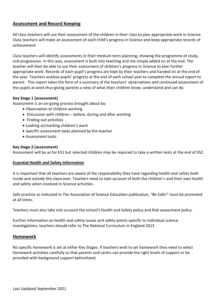#### **Assessment and Record Keeping**

All class teachers will use their assessment of the children in their class to plan appropriate work in Science. Class teachers will make an assessment of each child's progress in Science and keep appropriate records of achievement.

Class teachers will identify assessments in their medium term planning, showing the programme of study, and progression. In this way, assessment is built into teaching and not simply added on at the end. The teacher will then be able to use their assessment of children's progress in Science to plan further appropriate work. Records of each pupil's progress are kept by their teachers and handed on at the end of the year. Teachers analyse pupils' progress at the end of each school year to complete the annual report to parent. This report takes the form of a summary of the teachers' observations and continued assessment of the pupils at work thus giving parents a view of what their children know, understand and can do.

#### **Key Stage 1 (assessment)**

Assessment is an on-going process brought about by:

- Observation of children working
- Discussion with children before, during and after working
- Finding out activities
- Looking at/marking children's work
- Specific assessment tasks planned by the teacher
- Assessment tasks

#### **Key Stage 2 (assessment)**

Assessment will be as for KS1 but selected children may be required to take a written tests at the end of KS2.

#### **Essential Health and Safety Information**

It is important that all teachers are aware of the responsibility they have regarding health and safety both inside and outside the classroom. Teachers need to take account of both the children's and their own health and safety when involved in Science activities.

Safe practice as indicated in The Association of Science Education publication, "Be Safe!" must be promoted at all times.

Teachers must also take into account the school's Health and Safety policy and Risk assessment policy.

Further information on health and safety issues and safety points specific to individual science investigations, teachers should refer to The National Curriculum in England 2013

#### **Homework**

No specific homework is set at either Key Stages. If teachers wish to set homework they need to select homework activities carefully so that parents and carers can provide the right levels of support or be provided with background support beforehand.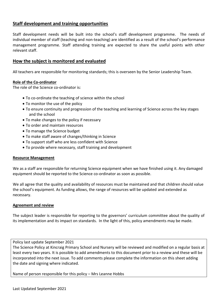#### **Staff development and training opportunities**

Staff development needs will be built into the school's staff development programme. The needs of individual member of staff (teaching and non-teaching) are identified as a result of the school's performance management programme. Staff attending training are expected to share the useful points with other relevant staff.

#### **How the subject is monitored and evaluated**

All teachers are responsible for monitoring standards; this is overseen by the Senior Leadership Team.

#### **Role of the Co-ordinator**

The role of the Science co-ordinator is:

- To co-ordinate the teaching of science within the school
- To monitor the use of the policy
- To ensure continuity and progression of the teaching and learning of Science across the key stages and the school
- To make changes to the policy if necessary
- To order and maintain resources
- To manage the Science budget
- To make staff aware of changes/thinking in Science
- To support staff who are less confident with Science
- To provide where necessary, staff training and development

#### **Resource Management**

We as a staff are responsible for returning Science equipment when we have finished using it. Any damaged equipment should be reported to the Science co-ordinator as soon as possible.

We all agree that the quality and availability of resources must be maintained and that children should value the school's equipment. As funding allows, the range of resources will be updated and extended as necessary.

#### **Agreement and review**

The subject leader is responsible for reporting to the governors' curriculum committee about the quality of its implementation and its impact on standards. In the light of this, policy amendments may be made.

#### Policy last update September 2021

The Science Policy at Kincraig Primary School and Nursery will be reviewed and modified on a regular basis at least every two years. It is possible to add amendments to this document prior to a review and these will be incorporated into the next issue. To add comments please complete the information on this sheet adding the date and signing where indicated.

Name of person responsible for this policy – Mrs Leanne Hobbs